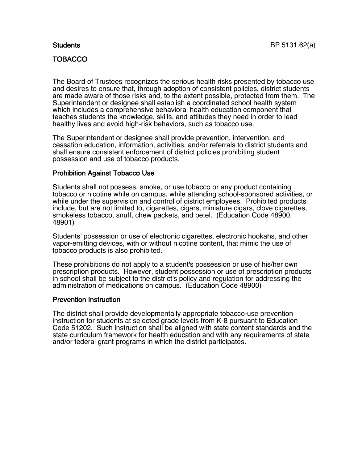## **TOBACCO**

The Board of Trustees recognizes the serious health risks presented by tobacco use and desires to ensure that, through adoption of consistent policies, district students are made aware of those risks and, to the extent possible, protected from them. The Superintendent or designee shall establish a coordinated school health system which includes a comprehensive behavioral health education component that teaches students the knowledge, skills, and attitudes they need in order to lead healthy lives and avoid high-risk behaviors, such as tobacco use.

The Superintendent or designee shall provide prevention, intervention, and cessation education, information, activities, and/or referrals to district students and shall ensure consistent enforcement of district policies prohibiting student possession and use of tobacco products.

## Prohibition Against Tobacco Use

Students shall not possess, smoke, or use tobacco or any product containing tobacco or nicotine while on campus, while attending school-sponsored activities, or while under the supervision and control of district employees. Prohibited products include, but are not limited to, cigarettes, cigars, miniature cigars, clove cigarettes, smokeless tobacco, snuff, chew packets, and betel. (Education Code 48900, 48901)

Students' possession or use of electronic cigarettes, electronic hookahs, and other vapor-emitting devices, with or without nicotine content, that mimic the use of tobacco products is also prohibited.

These prohibitions do not apply to a student's possession or use of his/her own prescription products. However, student possession or use of prescription products in school shall be subject to the district's policy and regulation for addressing the administration of medications on campus. (Education Code 48900)

## Prevention Instruction

The district shall provide developmentally appropriate tobacco-use prevention instruction for students at selected grade levels from K-8 pursuant to Education Code 51202. Such instruction shall be aligned with state content standards and the state curriculum framework for health education and with any requirements of state and/or federal grant programs in which the district participates.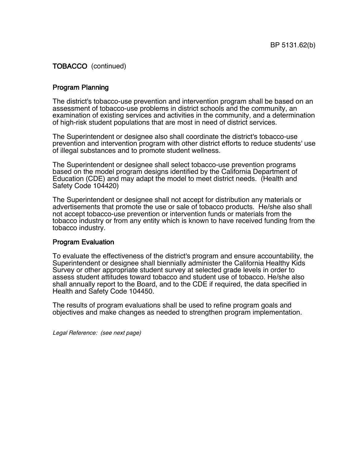# TOBACCO (continued)

## Program Planning

The district's tobacco-use prevention and intervention program shall be based on an assessment of tobacco-use problems in district schools and the community, an examination of existing services and activities in the community, and a determination of high-risk student populations that are most in need of district services.

The Superintendent or designee also shall coordinate the district's tobacco-use prevention and intervention program with other district efforts to reduce students' use of illegal substances and to promote student wellness.

The Superintendent or designee shall select tobacco-use prevention programs based on the model program designs identified by the California Department of Education (CDE) and may adapt the model to meet district needs. (Health and Safety Code 104420)

The Superintendent or designee shall not accept for distribution any materials or advertisements that promote the use or sale of tobacco products. He/she also shall not accept tobacco-use prevention or intervention funds or materials from the tobacco industry or from any entity which is known to have received funding from the tobacco industry.

## Program Evaluation

To evaluate the effectiveness of the district's program and ensure accountability, the Superintendent or designee shall biennially administer the California Healthy Kids Survey or other appropriate student survey at selected grade levels in order to assess student attitudes toward tobacco and student use of tobacco. He/she also shall annually report to the Board, and to the CDE if required, the data specified in Health and Safety Code 104450.

The results of program evaluations shall be used to refine program goals and objectives and make changes as needed to strengthen program implementation.

Legal Reference: (see next page)